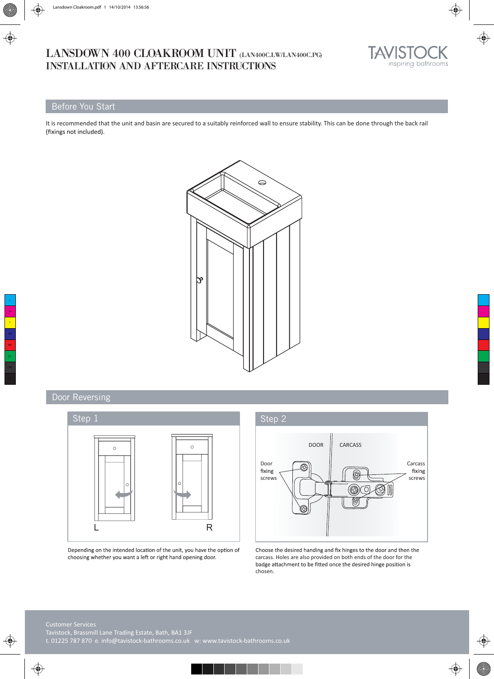# LANSDOWN 400 CLOAKROOM UNIT (LAN400C.LW/LAN400C.PG) INSTALLATION AND AFTERCARE INSTRUCTIONS



# Before You Start

It is recommended that the unit and basin are secured to a suitably reinforced wall to ensure stability. This can be done through the back rail (fixings not included).



# Door Reversing



Depending on the intended location of the unit, you have the option of choosing whether you want a left or right hand opening door.



Choose the desired handing and fix hinges to the door and then the carcass. Holes are also provided on both ends of the door for the badge attachment to be fitted once the desired hinge position is chosen.